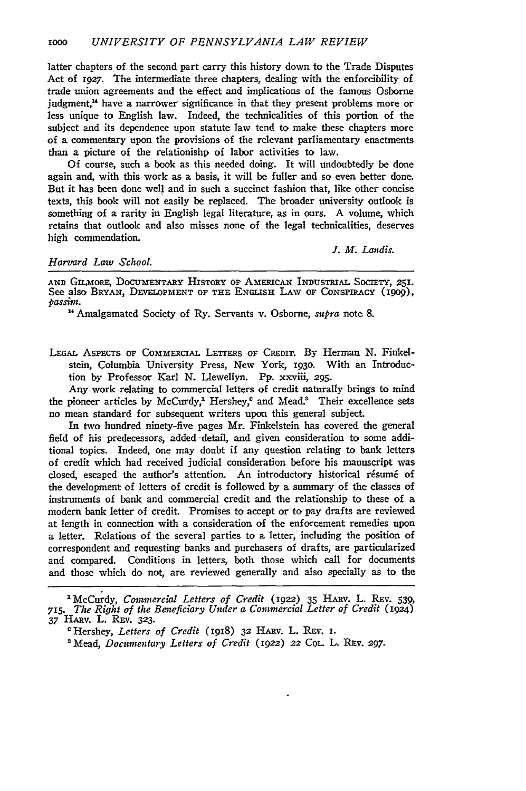latter chapters of the second part carry this history down to the Trade Disputes Act of *1927.* The intermediate three chapters, dealing with the enforcibility of trade union agreements and the effect and implications of the famous Osborne judgment," have a narrower significance in that they present problems more or less unique to English law. Indeed, the technicalities of this portion of the subject and its dependence upon statute law tend to make these chapters more of a commentary upon the provisions of the relevant parliamentary enactments than a picture of the relationishp of labor activities to law.

Of course, such a book as this needed doing. It will undoubtedly be done again and, with this work as a basis, it will be fuller and so even better done. But it has been done well and in such a succinct fashion that, like other concise texts, this book will not easily be replaced. The broader university outlook is something of a rarity in English legal literature, as in ours. A volume, which retains that outlook and also misses none of the legal technicalities, deserves high commendation.

## *Harvard Law School.*

*J. M. Landis.*

**AND** GILMORE, **DOCUMENTARY HISTORY OF AMERICAN INDusTRIAL SocIETY, 251.** See also **BRYAN, DEVELOPMENT OF THE ENGLISH** LAW **OF CoNsPIRAcY** *(ig0g), passim.* **"** Amalgamated Society of Ry. Servants v. Osborne, *supra* note 8.

**LEGAL AsPEcTs OF** COMMERCIAL **LETTERS OF** CREDIT. **By** Herman **N.** Finkelstein, Columbia University Press, New York, **193o.** With an Introduction **by** Professor Karl **N.** Llewellyn. Pp. xxviii, **295.**

Any work relating to commercial letters of credit naturally brings to mind the pioneer articles by McCurdy,<sup>1</sup> Hershey,<sup>e</sup> and Mead.<sup>3</sup> Their excellence sets no mean standard for subsequent writers upon this general subject.

In two hundred ninety-five pages Mr. Finkelstein has covered the general field of his predecessors, added detail, and given consideration to some additional topics. Indeed, one may doubt if any question relating to bank letters of credit which had received judicial consideration before his manuscript was closed, escaped the author's attention. An introductory historical résumé of the development of letters of credit is followed by a summary of the classes of instruments of bank and commercial credit and the relationship to these of a modern bank letter of credit. Promises to accept or to pay drafts are reviewed at length in connection with a consideration of the enforcement remedies upon a letter. Relations of the several parties to a letter, including the position of correspondent and requesting banks and purchasers of drafts, are particularized and compared. Conditions in letters, both those which call for documents and those which do not, are reviewed generally and also specially as to the

<sup>&#</sup>x27;McCurdy, *Contmercial Letters of Credit (1922)* 35 HARV. L. REv. 539, 715. *The Right of the Benwficiary Under a Commercial Letter of Credit* (1924) **37** HARv. L. REV. **323.**

<sup>&#</sup>x27;Hershey, *Letters of Credit* (1918) **32** HARV. L. REv. **I.**

*<sup>&#</sup>x27;Mead, Documentary Letters of Credit* **(1922) 22** CoL L. RFv. *297.*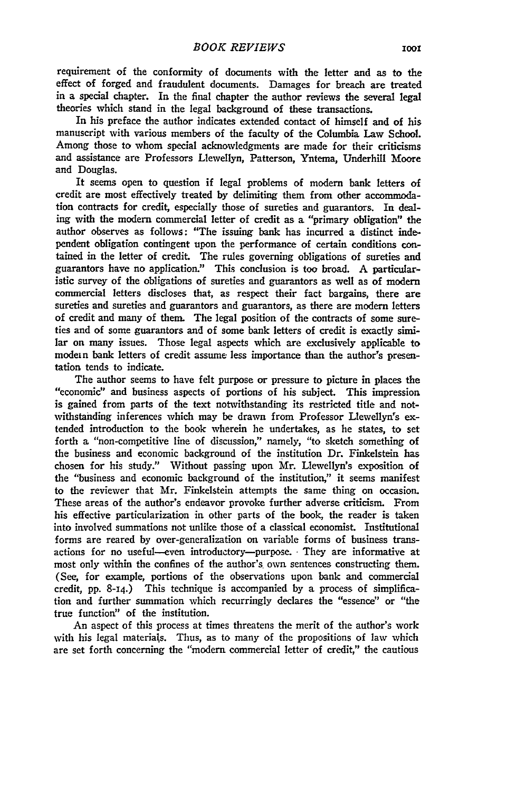requirement of the conformity of documents with the letter and as to the effect of forged and fraudulent documents. Damages for breach are treated in a special chapter. In the final chapter the author reviews the several legal theories which stand in the legal background of these transactions.

In his preface the author indicates extended contact of himself and of his manuscript with various members of the faculty of the Columbia Law School. Among those to whom special acknowledgments are made for their criticisms and assistance are Professors Llewellyn, Patterson, Yntema, Underhill Moore and Douglas.

It seems open to question if legal problems of modern bank letters of credit are most effectively treated by delimiting them from other accommodation contracts for credit, especially those of sureties and guarantors. In dealing with the modem commercial letter of credit as a "primary obligation" the author observes as follows: "The issuing bank has incurred a distinct independent obligation contingent upon the performance of certain conditions contained in the letter of credit. The rules governing obligations of sureties and guarantors have no application." This conclusion is too broad. **A** particularistic survey of the obligations of sureties and guarantors as well as of modern commercial letters discloses that, as respect their fact bargains, there are sureties and sureties and guarantors and guarantors, as there are modern letters of credit and many of them. The legal position of the contracts of some sureties and of some guarantors and of some bank letters of credit is exactly similar on many issues. Those legal aspects which are exclusively applicable to modem bank letters of credit assume less importance than the author's presentation tends to indicate.

The author seems to have felt purpose or pressure to picture in places the "economic" and business aspects of portions of his subject. This impression is gained from parts of the text notwithstanding its restricted title and notwithstanding inferences which may be drawn from Professor Llewellyn's extended introduction to the book wherein he undertakes, as he states, to set forth a "non-competitive line of discussion," namely, "to sketch something of the business and economic background of the institution Dr. Finkelstein has chosen for his study." Without passing upon Mr. Llewellyn's exposition of the "business and economic background of the institution," it seems manifest to the reviewer that Mr. Finkelstein attempts the same thing on occasion. These areas of the author's endeavor provoke further adverse criticism. From his effective particularization in other parts of the book, the reader is taken into involved summations not unlike those of a classical economist. Institutional forms are reared **by** over-generalization on variable forms of business transactions for no useful--even introductory-purpose. **-** They are informative at most only within the confines of the author's, own sentences constructing them. (See, for example, portions of the observations upon bank and commercial credit, pp. 8-14.) This technique is accompanied **by** a process of simplification and further summation which recurringly declares the "essence" or "the true function" of the institution.

An aspect of this process at times threatens the merit **of** the author's work with his legal materials. Thus, as to many of the propositions of law which are set forth concerning the "modem commercial letter of credit," the cautious